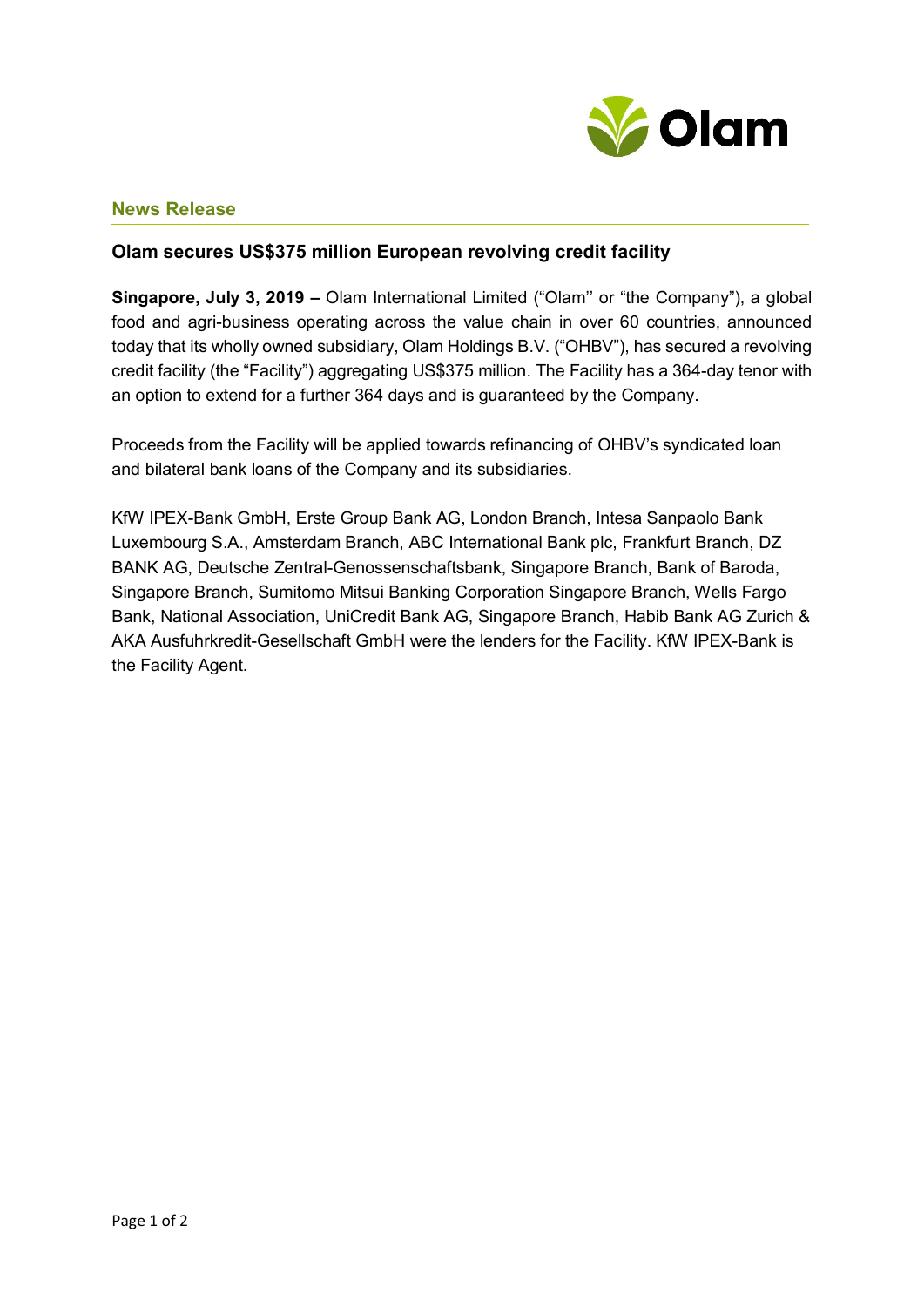

## **News Release**

## **Olam secures US\$375 million European revolving credit facility**

**Singapore, July 3, 2019 –** Olam International Limited ("Olam'' or "the Company"), a global food and agri-business operating across the value chain in over 60 countries, announced today that its wholly owned subsidiary, Olam Holdings B.V. ("OHBV"), has secured a revolving credit facility (the "Facility") aggregating US\$375 million. The Facility has a 364-day tenor with an option to extend for a further 364 days and is guaranteed by the Company.

Proceeds from the Facility will be applied towards refinancing of OHBV's syndicated loan and bilateral bank loans of the Company and its subsidiaries.

KfW IPEX-Bank GmbH, Erste Group Bank AG, London Branch, Intesa Sanpaolo Bank Luxembourg S.A., Amsterdam Branch, ABC International Bank plc, Frankfurt Branch, DZ BANK AG, Deutsche Zentral-Genossenschaftsbank, Singapore Branch, Bank of Baroda, Singapore Branch, Sumitomo Mitsui Banking Corporation Singapore Branch, Wells Fargo Bank, National Association, UniCredit Bank AG, Singapore Branch, Habib Bank AG Zurich & AKA Ausfuhrkredit-Gesellschaft GmbH were the lenders for the Facility. KfW IPEX-Bank is the Facility Agent.